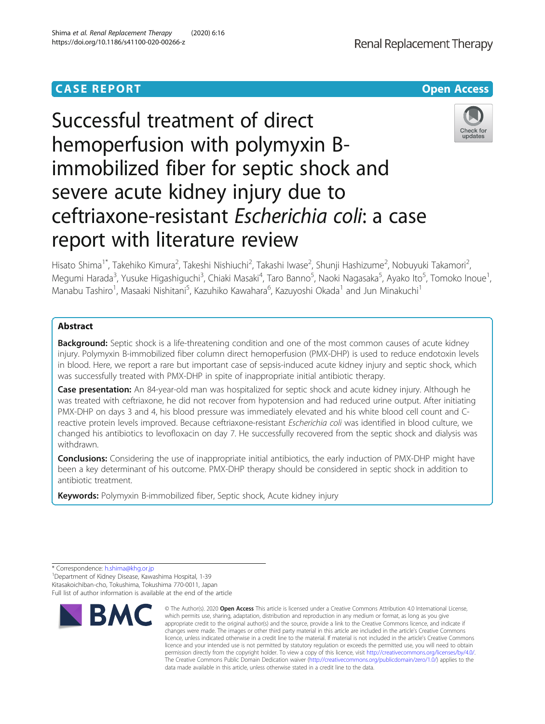## **CASE REPORT CASE ACCESS**

# Successful treatment of direct hemoperfusion with polymyxin Bimmobilized fiber for septic shock and severe acute kidney injury due to ceftriaxone-resistant Escherichia coli: a case report with literature review

Hisato Shima<sup>1\*</sup>, Takehiko Kimura<sup>2</sup>, Takeshi Nishiuchi<sup>2</sup>, Takashi Iwase<sup>2</sup>, Shunji Hashizume<sup>2</sup>, Nobuyuki Takamori<sup>2</sup> , Megumi Harada<sup>3</sup>, Yusuke Higashiguchi<sup>3</sup>, Chiaki Masaki<sup>4</sup>, Taro Banno<sup>5</sup>, Naoki Nagasaka<sup>5</sup>, Ayako Ito<sup>5</sup>, Tomoko Inoue<sup>1</sup> , Manabu Tashiro<sup>1</sup>, Masaaki Nishitani<sup>5</sup>, Kazuhiko Kawahara<sup>6</sup>, Kazuyoshi Okada<sup>1</sup> and Jun Minakuchi<sup>1</sup>

## Abstract

**Background:** Septic shock is a life-threatening condition and one of the most common causes of acute kidney injury. Polymyxin B-immobilized fiber column direct hemoperfusion (PMX-DHP) is used to reduce endotoxin levels in blood. Here, we report a rare but important case of sepsis-induced acute kidney injury and septic shock, which was successfully treated with PMX-DHP in spite of inappropriate initial antibiotic therapy.

Case presentation: An 84-year-old man was hospitalized for septic shock and acute kidney injury. Although he was treated with ceftriaxone, he did not recover from hypotension and had reduced urine output. After initiating PMX-DHP on days 3 and 4, his blood pressure was immediately elevated and his white blood cell count and Creactive protein levels improved. Because ceftriaxone-resistant Escherichia coli was identified in blood culture, we changed his antibiotics to levofloxacin on day 7. He successfully recovered from the septic shock and dialysis was withdrawn.

**Conclusions:** Considering the use of inappropriate initial antibiotics, the early induction of PMX-DHP might have been a key determinant of his outcome. PMX-DHP therapy should be considered in septic shock in addition to antibiotic treatment.

Keywords: Polymyxin B-immobilized fiber, Septic shock, Acute kidney injury

\* Correspondence: [h.shima@khg.or.jp](mailto:h.shima@khg.or.jp) <sup>1</sup>

Department of Kidney Disease, Kawashima Hospital, 1-39 Kitasakoichiban-cho, Tokushima, Tokushima 770-0011, Japan Full list of author information is available at the end of the article





<sup>©</sup> The Author(s), 2020 **Open Access** This article is licensed under a Creative Commons Attribution 4.0 International License, which permits use, sharing, adaptation, distribution and reproduction in any medium or format, as long as you give appropriate credit to the original author(s) and the source, provide a link to the Creative Commons licence, and indicate if changes were made. The images or other third party material in this article are included in the article's Creative Commons licence, unless indicated otherwise in a credit line to the material. If material is not included in the article's Creative Commons licence and your intended use is not permitted by statutory regulation or exceeds the permitted use, you will need to obtain permission directly from the copyright holder. To view a copy of this licence, visit [http://creativecommons.org/licenses/by/4.0/.](http://creativecommons.org/licenses/by/4.0/) The Creative Commons Public Domain Dedication waiver [\(http://creativecommons.org/publicdomain/zero/1.0/](http://creativecommons.org/publicdomain/zero/1.0/)) applies to the data made available in this article, unless otherwise stated in a credit line to the data.



Renal Replacement Therapy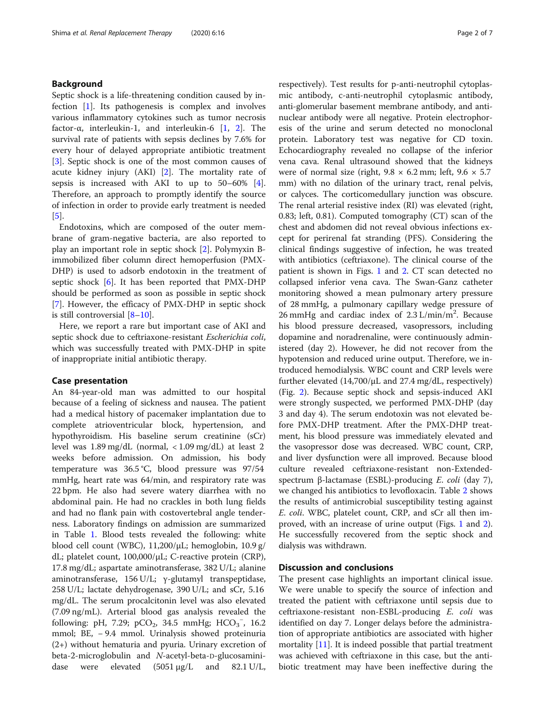## Background

Septic shock is a life-threatening condition caused by infection [[1\]](#page-5-0). Its pathogenesis is complex and involves various inflammatory cytokines such as tumor necrosis factor-α, interleukin-1, and interleukin-6 [[1,](#page-5-0) [2](#page-5-0)]. The survival rate of patients with sepsis declines by 7.6% for every hour of delayed appropriate antibiotic treatment [[3\]](#page-5-0). Septic shock is one of the most common causes of acute kidney injury (AKI) [\[2](#page-5-0)]. The mortality rate of sepsis is increased with AKI to up to 50–60% [\[4](#page-5-0)]. Therefore, an approach to promptly identify the source of infection in order to provide early treatment is needed [[5\]](#page-5-0).

Endotoxins, which are composed of the outer membrane of gram-negative bacteria, are also reported to play an important role in septic shock [\[2](#page-5-0)]. Polymyxin Bimmobilized fiber column direct hemoperfusion (PMX-DHP) is used to adsorb endotoxin in the treatment of septic shock [\[6](#page-5-0)]. It has been reported that PMX-DHP should be performed as soon as possible in septic shock [[7\]](#page-5-0). However, the efficacy of PMX-DHP in septic shock is still controversial [\[8](#page-5-0)–[10](#page-5-0)].

Here, we report a rare but important case of AKI and septic shock due to ceftriaxone-resistant Escherichia coli, which was successfully treated with PMX-DHP in spite of inappropriate initial antibiotic therapy.

### Case presentation

An 84-year-old man was admitted to our hospital because of a feeling of sickness and nausea. The patient had a medical history of pacemaker implantation due to complete atrioventricular block, hypertension, and hypothyroidism. His baseline serum creatinine (sCr) level was 1.89 mg/dL (normal, < 1.09 mg/dL) at least 2 weeks before admission. On admission, his body temperature was 36.5 °C, blood pressure was 97/54 mmHg, heart rate was 64/min, and respiratory rate was 22 bpm. He also had severe watery diarrhea with no abdominal pain. He had no crackles in both lung fields and had no flank pain with costovertebral angle tenderness. Laboratory findings on admission are summarized in Table [1.](#page-2-0) Blood tests revealed the following: white blood cell count (WBC),  $11,200/\mu L$ ; hemoglobin,  $10.9 \text{ g}/$ dL; platelet count, 100,000/μL; C-reactive protein (CRP), 17.8 mg/dL; aspartate aminotransferase, 382 U/L; alanine aminotransferase, 156 U/L; γ-glutamyl transpeptidase, 258 U/L; lactate dehydrogenase, 390 U/L; and sCr, 5.16 mg/dL. The serum procalcitonin level was also elevated (7.09 ng/mL). Arterial blood gas analysis revealed the following: pH, 7.29; pCO<sub>2</sub>, 34.5 mmHg; HCO<sub>3</sub><sup>-</sup>, 16.2 mmol; BE, − 9.4 mmol. Urinalysis showed proteinuria (2+) without hematuria and pyuria. Urinary excretion of beta-2-microglobulin and N-acetyl-beta-D-glucosaminidase were elevated (5051 μg/L and 82.1 U/L,

respectively). Test results for p-anti-neutrophil cytoplasmic antibody, c-anti-neutrophil cytoplasmic antibody, anti-glomerular basement membrane antibody, and antinuclear antibody were all negative. Protein electrophoresis of the urine and serum detected no monoclonal protein. Laboratory test was negative for CD toxin. Echocardiography revealed no collapse of the inferior vena cava. Renal ultrasound showed that the kidneys were of normal size (right,  $9.8 \times 6.2$  mm; left,  $9.6 \times 5.7$ mm) with no dilation of the urinary tract, renal pelvis, or calyces. The corticomedullary junction was obscure. The renal arterial resistive index (RI) was elevated (right, 0.83; left, 0.81). Computed tomography (CT) scan of the chest and abdomen did not reveal obvious infections except for perirenal fat stranding (PFS). Considering the clinical findings suggestive of infection, he was treated with antibiotics (ceftriaxone). The clinical course of the patient is shown in Figs. [1](#page-3-0) and [2.](#page-3-0) CT scan detected no collapsed inferior vena cava. The Swan-Ganz catheter monitoring showed a mean pulmonary artery pressure of 28 mmHg, a pulmonary capillary wedge pressure of 26 mmHg and cardiac index of 2.3 L/min/m<sup>2</sup>. Because his blood pressure decreased, vasopressors, including dopamine and noradrenaline, were continuously administered (day 2). However, he did not recover from the hypotension and reduced urine output. Therefore, we introduced hemodialysis. WBC count and CRP levels were further elevated (14,700/μL and 27.4 mg/dL, respectively) (Fig. [2](#page-3-0)). Because septic shock and sepsis-induced AKI were strongly suspected, we performed PMX-DHP (day 3 and day 4). The serum endotoxin was not elevated before PMX-DHP treatment. After the PMX-DHP treatment, his blood pressure was immediately elevated and the vasopressor dose was decreased. WBC count, CRP, and liver dysfunction were all improved. Because blood culture revealed ceftriaxone-resistant non-Extendedspectrum β-lactamase (ESBL)-producing E. coli (day 7), we changed his antibiotics to levofloxacin. Table [2](#page-4-0) shows the results of antimicrobial susceptibility testing against E. coli. WBC, platelet count, CRP, and sCr all then improved, with an increase of urine output (Figs. [1](#page-3-0) and [2](#page-3-0)). He successfully recovered from the septic shock and dialysis was withdrawn.

## Discussion and conclusions

The present case highlights an important clinical issue. We were unable to specify the source of infection and treated the patient with ceftriaxone until sepsis due to ceftriaxone-resistant non-ESBL-producing E. coli was identified on day 7. Longer delays before the administration of appropriate antibiotics are associated with higher mortality  $[11]$ . It is indeed possible that partial treatment was achieved with ceftriaxone in this case, but the antibiotic treatment may have been ineffective during the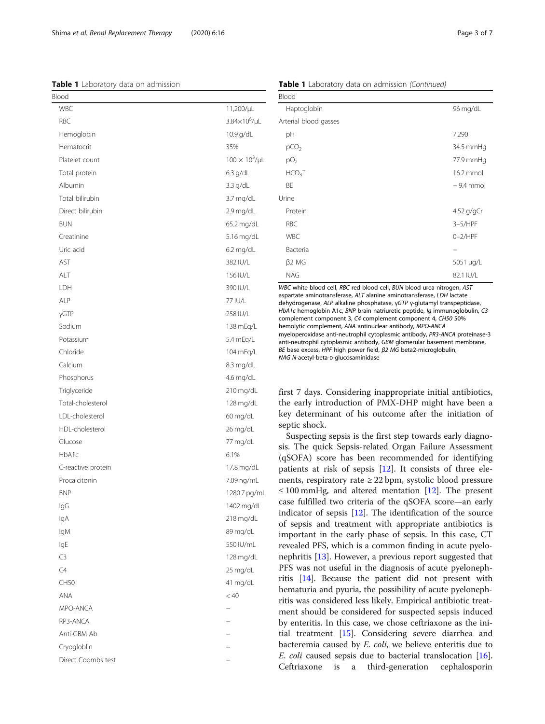<span id="page-2-0"></span>Shima et al. Renal Replacement Therapy (2020) 6:16 Page 3 of 7

Table 1 Laboratory data on admission

| Blood              |                          |
|--------------------|--------------------------|
| <b>WBC</b>         | 11,200/µL                |
| RBC                | 3.84×10 <sup>6</sup> /µL |
| Hemoglobin         | 10.9 g/dL                |
| Hematocrit         | 35%                      |
| Platelet count     | $100 \times 10^3/\mu L$  |
| Total protein      | $6.3$ g/dL               |
| Albumin            | $3.3$ g/dL               |
| Total bilirubin    | 3.7 mg/dL                |
| Direct bilirubin   | 2.9 mg/dL                |
| <b>BUN</b>         | 65.2 mg/dL               |
| Creatinine         | 5.16 mg/dL               |
| Uric acid          | $6.2$ mg/dL              |
| AST                | 382 IU/L                 |
| ALT                | 156 IU/L                 |
| LDH                | 390 IU/L                 |
| ALP                | 77 IU/L                  |
| γGTP               | 258 IU/L                 |
| Sodium             | 138 mEq/L                |
| Potassium          | 5.4 mEq/L                |
| Chloride           | 104 mEq/L                |
| Calcium            | 8.3 mg/dL                |
| Phosphorus         | 4.6 mg/dL                |
| Triglyceride       | 210 mg/dL                |
| Total-cholesterol  | 128 mg/dL                |
| LDL-cholesterol    | 60 mg/dL                 |
| HDL-cholesterol    | 26 mg/dL                 |
| Glucose            | 77 mg/dL                 |
| HbA1c              | 6.1%                     |
| C-reactive protein | 17.8 mg/dL               |
| Procalcitonin      | 7.09 ng/mL               |
| <b>BNP</b>         | 1280.7 pg/mL             |
| IgG                | 1402 mg/dL               |
| lgA                | 218 mg/dL                |
| lgM                | 89 mg/dL                 |
| IgE                | 550 IU/mL                |
| C3                 | 128 mg/dL                |
| C4                 | 25 mg/dL                 |
| CH50               | 41 mg/dL                 |
| ANA                | < 40                     |
| MPO-ANCA           |                          |
| RP3-ANCA           |                          |
| Anti-GBM Ab        |                          |
| Cryogloblin        |                          |
| Direct Coombs test |                          |
|                    |                          |

Table 1 Laboratory data on admission (Continued)

| Blood                 |             |
|-----------------------|-------------|
| Haptoglobin           | 96 mg/dL    |
| Arterial blood gasses |             |
| рH                    | 7.290       |
| pCO <sub>2</sub>      | 34.5 mmHg   |
| pO <sub>2</sub>       | 77.9 mmHg   |
| HCO <sub>3</sub>      | 16.2 mmol   |
| BE                    | $-9.4$ mmol |
| Urine                 |             |
| Protein               | 4.52 g/gCr  |
| <b>RBC</b>            | $3-5/HPF$   |
| <b>WBC</b>            | $0-2$ /HPF  |
| Bacteria              |             |
| β2 MG                 | 5051 µg/L   |
| <b>NAG</b>            | 82.1 IU/L   |

WBC white blood cell, RBC red blood cell, BUN blood urea nitrogen, AST aspartate aminotransferase, ALT alanine aminotransferase, LDH lactate dehydrogenase, ALP alkaline phosphatase, <sup>γ</sup>GTP <sup>γ</sup>-glutamyl transpeptidase, HbA1c hemoglobin A1c, BNP brain natriuretic peptide, Ig immunoglobulin, C3 complement component 3, C4 complement component 4, CH50 50% hemolytic complement, ANA antinuclear antibody, MPO-ANCA myeloperoxidase anti-neutrophil cytoplasmic antibody, PR3-ANCA proteinase-3 anti-neutrophil cytoplasmic antibody, GBM glomerular basement membrane, BE base excess, HPF high power field, <sup>β</sup>2 MG beta2-microglobulin, NAG N-acetyl-beta-D-glucosaminidase

first 7 days. Considering inappropriate initial antibiotics, the early introduction of PMX-DHP might have been a key determinant of his outcome after the initiation of septic shock.

Suspecting sepsis is the first step towards early diagnosis. The quick Sepsis-related Organ Failure Assessment (qSOFA) score has been recommended for identifying patients at risk of sepsis [[12](#page-5-0)]. It consists of three elements, respiratory rate  $\geq$  22 bpm, systolic blood pressure  $\leq$  100 mmHg, and altered mentation [\[12](#page-5-0)]. The present case fulfilled two criteria of the qSOFA score—an early indicator of sepsis [\[12\]](#page-5-0). The identification of the source of sepsis and treatment with appropriate antibiotics is important in the early phase of sepsis. In this case, CT revealed PFS, which is a common finding in acute pyelonephritis [[13\]](#page-5-0). However, a previous report suggested that PFS was not useful in the diagnosis of acute pyelonephritis [\[14\]](#page-5-0). Because the patient did not present with hematuria and pyuria, the possibility of acute pyelonephritis was considered less likely. Empirical antibiotic treatment should be considered for suspected sepsis induced by enteritis. In this case, we chose ceftriaxone as the initial treatment [[15\]](#page-5-0). Considering severe diarrhea and bacteremia caused by E. coli, we believe enteritis due to E. coli caused sepsis due to bacterial translocation [\[16](#page-5-0)]. Ceftriaxone is a third-generation cephalosporin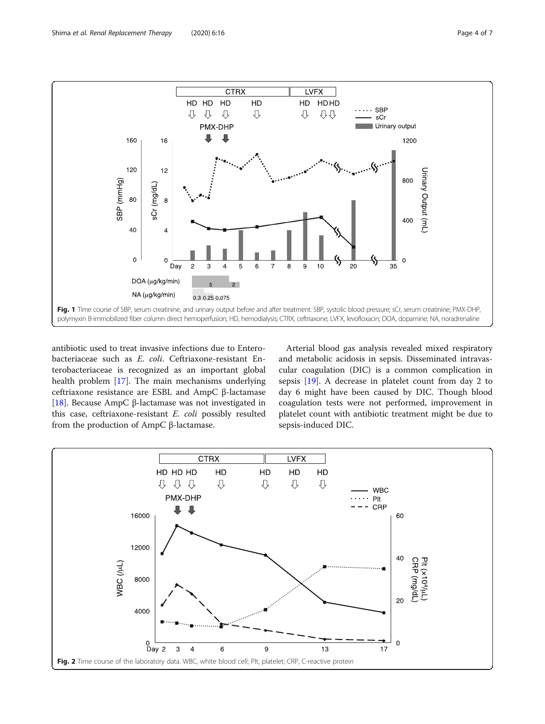<span id="page-3-0"></span>

antibiotic used to treat invasive infections due to Enterobacteriaceae such as E. coli. Ceftriaxone-resistant Enterobacteriaceae is recognized as an important global health problem [[17](#page-5-0)]. The main mechanisms underlying ceftriaxone resistance are ESBL and AmpC β-lactamase [[18\]](#page-5-0). Because AmpC β-lactamase was not investigated in this case, ceftriaxone-resistant E. coli possibly resulted from the production of AmpC β-lactamase.

Arterial blood gas analysis revealed mixed respiratory and metabolic acidosis in sepsis. Disseminated intravascular coagulation (DIC) is a common complication in sepsis [[19](#page-5-0)]. A decrease in platelet count from day 2 to day 6 might have been caused by DIC. Though blood coagulation tests were not performed, improvement in platelet count with antibiotic treatment might be due to sepsis-induced DIC.

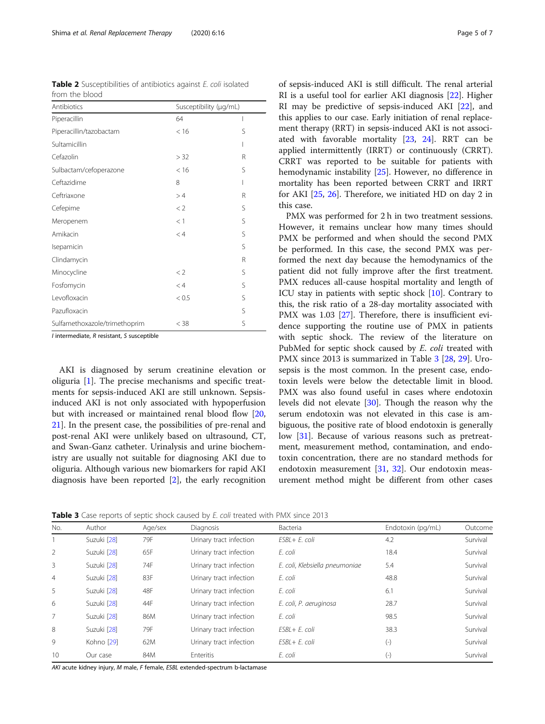<span id="page-4-0"></span>Table 2 Susceptibilities of antibiotics against E. coli isolated from the blood

| Antibiotics                   | Susceptibility (µg/mL) |   |
|-------------------------------|------------------------|---|
| Piperacillin                  | 64                     |   |
| Piperacillin/tazobactam       | < 16                   | S |
| Sultamicillin                 |                        | I |
| Cefazolin                     | > 32                   | R |
| Sulbactam/cefoperazone        | < 16                   | S |
| Ceftazidime                   | 8                      |   |
| Ceftriaxone                   | >4                     | R |
| Cefepime                      | $<$ 2                  | S |
| Meropenem                     | <1                     | S |
| Amikacin                      | < 4                    | S |
| Isepamicin                    |                        | S |
| Clindamycin                   |                        | R |
| Minocycline                   | $<$ 2                  | S |
| Fosfomycin                    | < 4                    | S |
| Levofloxacin                  | < 0.5                  | S |
| Pazufloxacin                  |                        | S |
| Sulfamethoxazole/trimethoprim | $<$ 38                 | S |

I intermediate, R resistant, S susceptible

AKI is diagnosed by serum creatinine elevation or oliguria [[1](#page-5-0)]. The precise mechanisms and specific treatments for sepsis-induced AKI are still unknown. Sepsisinduced AKI is not only associated with hypoperfusion but with increased or maintained renal blood flow [[20](#page-5-0), [21\]](#page-6-0). In the present case, the possibilities of pre-renal and post-renal AKI were unlikely based on ultrasound, CT, and Swan-Ganz catheter. Urinalysis and urine biochemistry are usually not suitable for diagnosing AKI due to oliguria. Although various new biomarkers for rapid AKI diagnosis have been reported [\[2\]](#page-5-0), the early recognition

of sepsis-induced AKI is still difficult. The renal arterial RI is a useful tool for earlier AKI diagnosis [[22\]](#page-6-0). Higher RI may be predictive of sepsis-induced AKI [\[22](#page-6-0)], and this applies to our case. Early initiation of renal replacement therapy (RRT) in sepsis-induced AKI is not associated with favorable mortality [\[23,](#page-6-0) [24](#page-6-0)]. RRT can be applied intermittently (IRRT) or continuously (CRRT). CRRT was reported to be suitable for patients with hemodynamic instability [\[25\]](#page-6-0). However, no difference in mortality has been reported between CRRT and IRRT for AKI [[25,](#page-6-0) [26\]](#page-6-0). Therefore, we initiated HD on day 2 in this case.

PMX was performed for 2 h in two treatment sessions. However, it remains unclear how many times should PMX be performed and when should the second PMX be performed. In this case, the second PMX was performed the next day because the hemodynamics of the patient did not fully improve after the first treatment. PMX reduces all-cause hospital mortality and length of ICU stay in patients with septic shock [\[10](#page-5-0)]. Contrary to this, the risk ratio of a 28-day mortality associated with PMX was 1.03 [\[27](#page-6-0)]. Therefore, there is insufficient evidence supporting the routine use of PMX in patients with septic shock. The review of the literature on PubMed for septic shock caused by E. coli treated with PMX since 2013 is summarized in Table 3 [[28,](#page-6-0) [29\]](#page-6-0). Urosepsis is the most common. In the present case, endotoxin levels were below the detectable limit in blood. PMX was also found useful in cases where endotoxin levels did not elevate [\[30](#page-6-0)]. Though the reason why the serum endotoxin was not elevated in this case is ambiguous, the positive rate of blood endotoxin is generally low [\[31\]](#page-6-0). Because of various reasons such as pretreatment, measurement method, contamination, and endotoxin concentration, there are no standard methods for endotoxin measurement [[31,](#page-6-0) [32\]](#page-6-0). Our endotoxin measurement method might be different from other cases

**Table 3** Case reports of septic shock caused by *E. coli* treated with PMX since 2013

| No.            | Author                | Age/sex | Diagnosis               | Bacteria                       | Endotoxin (pg/mL) | Outcome  |
|----------------|-----------------------|---------|-------------------------|--------------------------------|-------------------|----------|
|                | Suzuki [28]           | 79F     | Urinary tract infection | ESBL+ E. coli                  | 4.2               | Survival |
| 2              | Suzuki [28]           | 65F     | Urinary tract infection | E. coli                        | 18.4              | Survival |
| 3              | Suzuki [28]           | 74F     | Urinary tract infection | E. coli, Klebsiella pneumoniae | 5.4               | Survival |
| $\overline{4}$ | Suzuki [28]           | 83F     | Urinary tract infection | E. coli                        | 48.8              | Survival |
| 5              | Suzuki [28]           | 48F     | Urinary tract infection | E. coli                        | 6.1               | Survival |
| 6              | Suzuki [28]           | 44F     | Urinary tract infection | E. coli, P. aeruginosa         | 28.7              | Survival |
| 7              | Suzuki [28]           | 86M     | Urinary tract infection | E. coli                        | 98.5              | Survival |
| 8              | Suzuki [28]           | 79F     | Urinary tract infection | $FSBI + F$ . coli              | 38.3              | Survival |
| 9              | Kohno <sup>[29]</sup> | 62M     | Urinary tract infection | $FSBI + F$ . coli              | $(-)$             | Survival |
| 10             | Our case              | 84M     | <b>Enteritis</b>        | E. coli                        | $(-)$             | Survival |

AKI acute kidney injury, M male, F female, ESBL extended-spectrum b-lactamase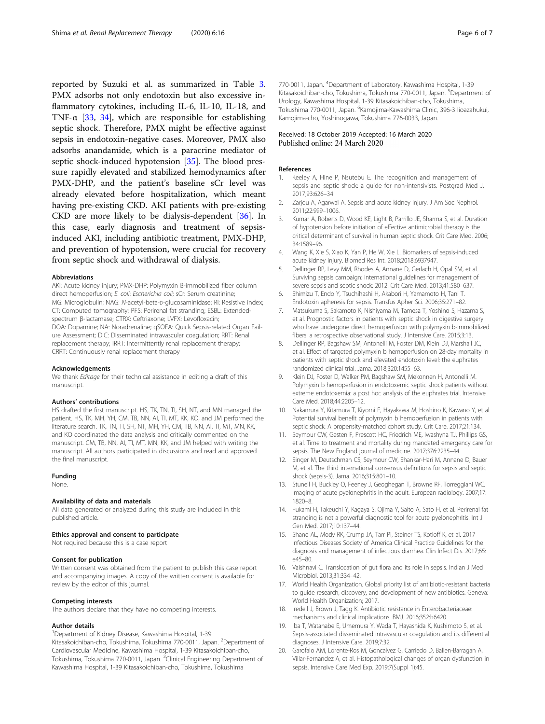<span id="page-5-0"></span>reported by Suzuki et al. as summarized in Table [3](#page-4-0). PMX adsorbs not only endotoxin but also excessive inflammatory cytokines, including IL-6, IL-10, IL-18, and TNF- $\alpha$  [[33,](#page-6-0) [34](#page-6-0)], which are responsible for establishing septic shock. Therefore, PMX might be effective against sepsis in endotoxin-negative cases. Moreover, PMX also adsorbs anandamide, which is a paracrine mediator of septic shock-induced hypotension [\[35\]](#page-6-0). The blood pressure rapidly elevated and stabilized hemodynamics after PMX-DHP, and the patient's baseline sCr level was already elevated before hospitalization, which meant having pre-existing CKD. AKI patients with pre-existing CKD are more likely to be dialysis-dependent [[36\]](#page-6-0). In this case, early diagnosis and treatment of sepsisinduced AKI, including antibiotic treatment, PMX-DHP, and prevention of hypotension, were crucial for recovery from septic shock and withdrawal of dialysis.

#### Abbreviations

AKI: Acute kidney injury; PMX-DHP: Polymyxin B-immobilized fiber column direct hemoperfusion; E. coli: Escherichia coli; sCr: Serum creatinine; MG: Microglobulin; NAG: N-acetyl-beta-D-glucosaminidase; RI: Resistive index; CT: Computed tomography; PFS: Perirenal fat stranding; ESBL: Extendedspectrum β-lactamase; CTRX: Ceftriaxone; LVFX: Levofloxacin; DOA: Dopamine; NA: Noradrenaline; qSOFA: Quick Sepsis-related Organ Failure Assessment; DIC: Disseminated intravascular coagulation; RRT: Renal replacement therapy; IRRT: Intermittently renal replacement therapy; CRRT: Continuously renal replacement therapy

#### Acknowledgements

We thank Editage for their technical assistance in editing a draft of this manuscript.

#### Authors' contributions

HS drafted the first manuscript. HS, TK, TN, TI, SH, NT, and MN managed the patient. HS, TK, MH, YH, CM, TB, NN, AI, TI, MT, KK, KO, and JM performed the literature search. TK, TN, TI, SH, NT, MH, YH, CM, TB, NN, AI, TI, MT, MN, KK, and KO coordinated the data analysis and critically commented on the manuscript. CM, TB, NN, AI, TI, MT, MN, KK, and JM helped with writing the manuscript. All authors participated in discussions and read and approved the final manuscript.

#### Funding

None.

#### Availability of data and materials

All data generated or analyzed during this study are included in this published article.

#### Ethics approval and consent to participate

Not required because this is a case report

#### Consent for publication

Written consent was obtained from the patient to publish this case report and accompanying images. A copy of the written consent is available for review by the editor of this journal.

#### Competing interests

The authors declare that they have no competing interests.

#### Author details

<sup>1</sup>Department of Kidney Disease, Kawashima Hospital, 1-39 Kitasakoichiban-cho, Tokushima, Tokushima 770-0011, Japan. <sup>2</sup>Department of Cardiovascular Medicine, Kawashima Hospital, 1-39 Kitasakoichiban-cho, Tokushima, Tokushima 770-0011, Japan. <sup>3</sup>Clinical Engineering Department of Kawashima Hospital, 1-39 Kitasakoichiban-cho, Tokushima, Tokushima

770-0011, Japan. <sup>4</sup>Department of Laboratory, Kawashima Hospital, 1-39 Kitasakoichiban-cho, Tokushima, Tokushima 770-0011, Japan. <sup>5</sup>Department of Urology, Kawashima Hospital, 1-39 Kitasakoichiban-cho, Tokushima, Tokushima 770-0011, Japan. <sup>6</sup>Kamojima-Kawashima Clinic, 396-3 lioazahukui, Kamojima-cho, Yoshinogawa, Tokushima 776-0033, Japan.

#### Received: 18 October 2019 Accepted: 16 March 2020 Published online: 24 March 2020

#### References

- Keeley A, Hine P, Nsutebu E. The recognition and management of sepsis and septic shock: a guide for non-intensivists. Postgrad Med J. 2017;93:626–34.
- 2. Zarjou A, Agarwal A. Sepsis and acute kidney injury. J Am Soc Nephrol. 2011;22:999–1006.
- 3. Kumar A, Roberts D, Wood KE, Light B, Parrillo JE, Sharma S, et al. Duration of hypotension before initiation of effective antimicrobial therapy is the critical determinant of survival in human septic shock. Crit Care Med. 2006; 34:1589–96.
- 4. Wang K, Xie S, Xiao K, Yan P, He W, Xie L. Biomarkers of sepsis-induced acute kidney injury. Biomed Res Int. 2018;2018:6937947.
- 5. Dellinger RP, Levy MM, Rhodes A, Annane D, Gerlach H, Opal SM, et al. Surviving sepsis campaign: international guidelines for management of severe sepsis and septic shock: 2012. Crit Care Med. 2013;41:580–637.
- 6. Shimizu T, Endo Y, Tsuchihashi H, Akabori H, Yamamoto H, Tani T. Endotoxin apheresis for sepsis. Transfus Apher Sci. 2006;35:271–82.
- 7. Matsukuma S, Sakamoto K, Nishiyama M, Tamesa T, Yoshino S, Hazama S, et al. Prognostic factors in patients with septic shock in digestive surgery who have undergone direct hemoperfusion with polymyxin b-immobilized fibers: a retrospective observational study. J Intensive Care. 2015;3:13.
- 8. Dellinger RP, Bagshaw SM, Antonelli M, Foster DM, Klein DJ, Marshall JC, et al. Effect of targeted polymyxin b hemoperfusion on 28-day mortality in patients with septic shock and elevated endotoxin level: the euphrates randomized clinical trial. Jama. 2018;320:1455–63.
- 9. Klein DJ, Foster D, Walker PM, Bagshaw SM, Mekonnen H, Antonelli M. Polymyxin b hemoperfusion in endotoxemic septic shock patients without extreme endotoxemia: a post hoc analysis of the euphrates trial. Intensive Care Med. 2018;44:2205–12.
- 10. Nakamura Y, Kitamura T, Kiyomi F, Hayakawa M, Hoshino K, Kawano Y, et al. Potential survival benefit of polymyxin b hemoperfusion in patients with septic shock: A propensity-matched cohort study. Crit Care. 2017;21:134.
- 11. Seymour CW, Gesten F, Prescott HC, Friedrich ME, Iwashyna TJ, Phillips GS, et al. Time to treatment and mortality during mandated emergency care for sepsis. The New England journal of medicine. 2017;376:2235–44.
- 12. Singer M, Deutschman CS, Seymour CW, Shankar-Hari M, Annane D, Bauer M, et al. The third international consensus definitions for sepsis and septic shock (sepsis-3). Jama. 2016;315:801–10.
- 13. Stunell H, Buckley O, Feeney J, Geoghegan T, Browne RF, Torreggiani WC. Imaging of acute pyelonephritis in the adult. European radiology. 2007;17: 1820–8.
- 14. Fukami H, Takeuchi Y, Kagaya S, Ojima Y, Saito A, Sato H, et al. Perirenal fat stranding is not a powerful diagnostic tool for acute pyelonephritis. Int J Gen Med. 2017;10:137–44.
- 15. Shane AL, Mody RK, Crump JA, Tarr PI, Steiner TS, Kotloff K, et al. 2017 Infectious Diseases Society of America Clinical Practice Guidelines for the diagnosis and management of infectious diarrhea. Clin Infect Dis. 2017;65: e45–80.
- 16. Vaishnavi C. Translocation of gut flora and its role in sepsis. Indian J Med Microbiol. 2013;31:334–42.
- 17. World Health Organization. Global priority list of antibiotic-resistant bacteria to guide research, discovery, and development of new antibiotics. Geneva: World Health Organization; 2017.
- 18. Iredell J, Brown J, Tagg K. Antibiotic resistance in Enterobacteriaceae: mechanisms and clinical implications. BMJ. 2016;352:h6420.
- 19. Iba T, Watanabe E, Umemura Y, Wada T, Hayashida K, Kushimoto S, et al. Sepsis-associated disseminated intravascular coagulation and its differential diagnoses. J Intensive Care. 2019;7:32.
- 20. Garofalo AM, Lorente-Ros M, Goncalvez G, Carriedo D, Ballen-Barragan A, Villar-Fernandez A, et al. Histopathological changes of organ dysfunction in sepsis. Intensive Care Med Exp. 2019;7(Suppl 1):45.